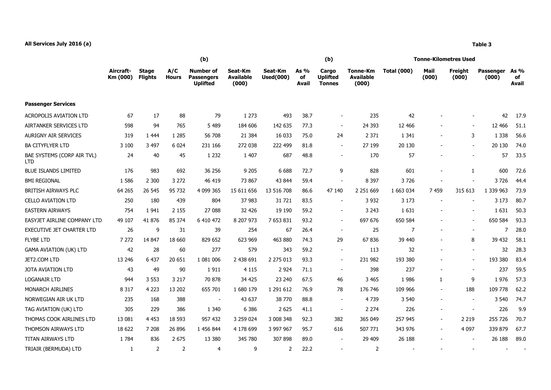## **All Services July 2016 (a) Table 3**

|                                          |                       | (b)                            |                     |                                                   |                                      |                             |                     | (b)                                       |                                       | <b>Tonne-Kilometres Used</b> |               |                  |                    |                            |  |
|------------------------------------------|-----------------------|--------------------------------|---------------------|---------------------------------------------------|--------------------------------------|-----------------------------|---------------------|-------------------------------------------|---------------------------------------|------------------------------|---------------|------------------|--------------------|----------------------------|--|
|                                          | Aircraft-<br>Km (000) | <b>Stage</b><br><b>Flights</b> | A/C<br><b>Hours</b> | Number of<br><b>Passengers</b><br><b>Uplifted</b> | Seat-Km<br><b>Available</b><br>(000) | Seat-Km<br><b>Used(000)</b> | As %<br>of<br>Avail | Cargo<br><b>Uplifted</b><br><b>Tonnes</b> | Tonne-Km<br><b>Available</b><br>(000) | <b>Total (000)</b>           | Mail<br>(000) | Freight<br>(000) | Passenger<br>(000) | As %<br>of<br><b>Avail</b> |  |
| <b>Passenger Services</b>                |                       |                                |                     |                                                   |                                      |                             |                     |                                           |                                       |                              |               |                  |                    |                            |  |
| <b>ACROPOLIS AVIATION LTD</b>            | 67                    | 17                             | 88                  | 79                                                | 1 2 7 3                              | 493                         | 38.7                | $\overline{\phantom{a}}$                  | 235                                   | 42                           |               |                  | 42                 | 17.9                       |  |
| AIRTANKER SERVICES LTD                   | 598                   | 94                             | 765                 | 5 4 8 9                                           | 184 606                              | 142 635                     | 77.3                | $\blacksquare$                            | 24 3 93                               | 12 4 66                      |               |                  | 12 466             | 51.1                       |  |
| <b>AURIGNY AIR SERVICES</b>              | 319                   | 1 4 4 4                        | 1 2 8 5             | 56 708                                            | 21 3 8 4                             | 16 033                      | 75.0                | 24                                        | 2 3 7 1                               | 1 3 4 1                      |               | 3                | 1 3 3 8            | 56.6                       |  |
| <b>BA CITYFLYER LTD</b>                  | 3 100                 | 3 4 9 7                        | 6 0 24              | 231 166                                           | 272 038                              | 222 499                     | 81.8                | $\blacksquare$                            | 27 199                                | 20 130                       |               | $\sim$           | 20 130             | 74.0                       |  |
| BAE SYSTEMS (CORP AIR TVL)<br><b>LTD</b> | 24                    | 40                             | 45                  | 1 2 3 2                                           | 1 4 0 7                              | 687                         | 48.8                | $\mathbf{r}$                              | 170                                   | 57                           |               |                  | 57                 | 33.5                       |  |
| <b>BLUE ISLANDS LIMITED</b>              | 176                   | 983                            | 692                 | 36 256                                            | 9 2 0 5                              | 6 6 8 8                     | 72.7                | 9                                         | 828                                   | 601                          |               | $\mathbf{1}$     | 600                | 72.6                       |  |
| <b>BMI REGIONAL</b>                      | 1 5 8 6               | 2 3 0 0                        | 3 2 7 2             | 46 419                                            | 73 867                               | 43 844                      | 59.4                | $\blacksquare$                            | 8 3 9 7                               | 3726                         |               |                  | 3726               | 44.4                       |  |
| BRITISH AIRWAYS PLC                      | 64 265                | 26 545                         | 95 732              | 4 099 365                                         | 15 611 656                           | 13 516 708                  | 86.6                | 47 140                                    | 2 2 5 1 6 6 9                         | 1 663 034                    | 7459          | 315 613          | 1 339 963          | 73.9                       |  |
| <b>CELLO AVIATION LTD</b>                | 250                   | 180                            | 439                 | 804                                               | 37 983                               | 31 721                      | 83.5                | $\sim$                                    | 3 9 3 2                               | 3 1 7 3                      |               |                  | 3 1 7 3            | 80.7                       |  |
| <b>EASTERN AIRWAYS</b>                   | 754                   | 1941                           | 2 1 5 5             | 27 088                                            | 32 4 26                              | 19 190                      | 59.2                | $\sim$                                    | 3 2 4 3                               | 1 6 3 1                      |               |                  | 1631               | 50.3                       |  |
| EASYJET AIRLINE COMPANY LTD              | 49 107                | 41 876                         | 85 374              | 6 410 472                                         | 8 207 973                            | 7 653 831                   | 93.2                | $\blacksquare$                            | 697 676                               | 650 584                      |               | $\sim$           | 650 584            | 93.3                       |  |
| <b>EXECUTIVE JET CHARTER LTD</b>         | 26                    | 9                              | 31                  | 39                                                | 254                                  | 67                          | 26.4                | $\sim$                                    | 25                                    | 7                            | $\sim$        |                  | $\overline{7}$     | 28.0                       |  |
| <b>FLYBE LTD</b>                         | 7 2 7 2               | 14 847                         | 18 660              | 829 652                                           | 623 969                              | 463 880                     | 74.3                | 29                                        | 67836                                 | 39 440                       |               | 8                | 39 432             | 58.1                       |  |
| <b>GAMA AVIATION (UK) LTD</b>            | 42                    | 28                             | 60                  | 277                                               | 579                                  | 343                         | 59.2                | $\sim$                                    | 113                                   | 32                           |               |                  | 32                 | 28.3                       |  |
| JET2.COM LTD                             | 13 24 6               | 6 4 3 7                        | 20 651              | 1 081 006                                         | 2 438 691                            | 2 275 013                   | 93.3                | $\blacksquare$                            | 231 982                               | 193 380                      |               | $\sim$           | 193 380            | 83.4                       |  |
| <b>JOTA AVIATION LTD</b>                 | 43                    | 49                             | 90                  | 1911                                              | 4 1 1 5                              | 2 9 2 4                     | 71.1                | $\sim$                                    | 398                                   | 237                          | $\sim$        |                  | 237                | 59.5                       |  |
| <b>LOGANAIR LTD</b>                      | 944                   | 3 5 5 3                        | 3 2 1 7             | 70 878                                            | 34 425                               | 23 240                      | 67.5                | 46                                        | 3 4 6 5                               | 1986                         | $\mathbf{1}$  | 9                | 1976               | 57.3                       |  |
| MONARCH AIRLINES                         | 8 3 1 7               | 4 2 2 3                        | 13 202              | 655 701                                           | 1 680 179                            | 1 291 612                   | 76.9                | 78                                        | 176 746                               | 109 966                      | $\sim$        | 188              | 109 778            | 62.2                       |  |
| NORWEGIAN AIR UK LTD                     | 235                   | 168                            | 388                 | $\overline{\phantom{a}}$                          | 43 637                               | 38 770                      | 88.8                | $\sim$                                    | 4739                                  | 3 5 4 0                      |               |                  | 3 5 4 0            | 74.7                       |  |
| TAG AVIATION (UK) LTD                    | 305                   | 229                            | 386                 | 1 3 4 0                                           | 6 3 8 6                              | 2 6 2 5                     | 41.1                | $\blacksquare$                            | 2 2 7 4                               | 226                          | $\sim$        |                  | 226                | 9.9                        |  |
| THOMAS COOK AIRLINES LTD                 | 13 081                | 4 4 5 3                        | 18 5 93             | 957 432                                           | 3 259 024                            | 3 008 348                   | 92.3                | 382                                       | 365 049                               | 257 945                      | $\sim$        | 2 2 1 9          | 255 726            | 70.7                       |  |
| THOMSON AIRWAYS LTD                      | 18 622                | 7 208                          | 26 896              | 1 456 844                                         | 4 178 699                            | 3 997 967                   | 95.7                | 616                                       | 507 771                               | 343 976                      | $\sim$        | 4 0 9 7          | 339 879            | 67.7                       |  |
| <b>TITAN AIRWAYS LTD</b>                 | 1 7 8 4               | 836                            | 2 6 7 5             | 13 380                                            | 345 780                              | 307 898                     | 89.0                | $\sim$                                    | 29 409                                | 26 188                       |               |                  | 26 188             | 89.0                       |  |
| TRIAIR (BERMUDA) LTD                     | 1                     | 2                              | $\mathcal{P}$       | 4                                                 | 9                                    | $\mathcal{P}$               | 22.2                |                                           | 2                                     |                              |               |                  | $\sim$             |                            |  |